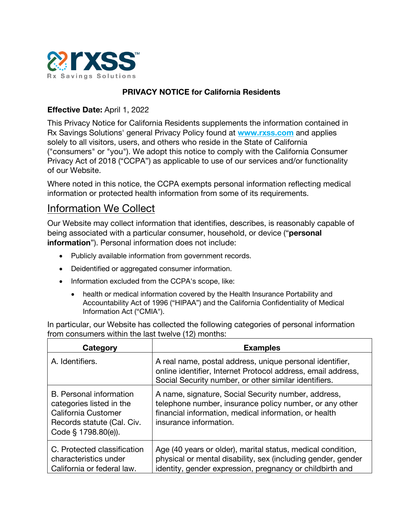

#### **PRIVACY NOTICE for California Residents**

#### **Effective Date:** April 1, 2022

This Privacy Notice for California Residents supplements the information contained in Rx Savings Solutions' general Privacy Policy found at **www.rxss.com** and applies solely to all visitors, users, and others who reside in the State of California ("consumers" or "you"). We adopt this notice to comply with the California Consumer Privacy Act of 2018 ("CCPA") as applicable to use of our services and/or functionality of our Website.

Where noted in this notice, the CCPA exempts personal information reflecting medical information or protected health information from some of its requirements.

## Information We Collect

Our Website may collect information that identifies, describes, is reasonably capable of being associated with a particular consumer, household, or device ("**personal information**"). Personal information does not include:

- Publicly available information from government records.
- Deidentified or aggregated consumer information.
- Information excluded from the CCPA's scope, like:
	- health or medical information covered by the Health Insurance Portability and Accountability Act of 1996 ("HIPAA") and the California Confidentiality of Medical Information Act ("CMIA").

In particular, our Website has collected the following categories of personal information from consumers within the last twelve (12) months:

| Category                                                                                                                        | <b>Examples</b>                                                                                                                                                                                   |
|---------------------------------------------------------------------------------------------------------------------------------|---------------------------------------------------------------------------------------------------------------------------------------------------------------------------------------------------|
| A. Identifiers.                                                                                                                 | A real name, postal address, unique personal identifier,<br>online identifier, Internet Protocol address, email address,<br>Social Security number, or other similar identifiers.                 |
| B. Personal information<br>categories listed in the<br>California Customer<br>Records statute (Cal. Civ.<br>Code § 1798.80(e)). | A name, signature, Social Security number, address,<br>telephone number, insurance policy number, or any other<br>financial information, medical information, or health<br>insurance information. |
| C. Protected classification<br>characteristics under<br>California or federal law.                                              | Age (40 years or older), marital status, medical condition,<br>physical or mental disability, sex (including gender, gender<br>identity, gender expression, pregnancy or childbirth and           |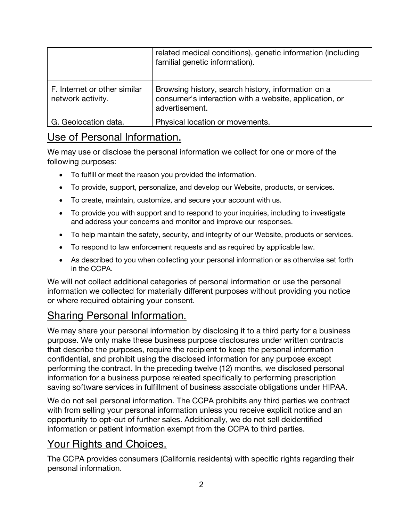|                                                   | related medical conditions), genetic information (including<br>familial genetic information).                                  |
|---------------------------------------------------|--------------------------------------------------------------------------------------------------------------------------------|
| F. Internet or other similar<br>network activity. | Browsing history, search history, information on a<br>consumer's interaction with a website, application, or<br>advertisement. |
| G. Geolocation data.                              | Physical location or movements.                                                                                                |

# Use of Personal Information.

We may use or disclose the personal information we collect for one or more of the following purposes:

- To fulfill or meet the reason you provided the information.
- To provide, support, personalize, and develop our Website, products, or services.
- To create, maintain, customize, and secure your account with us.
- To provide you with support and to respond to your inquiries, including to investigate and address your concerns and monitor and improve our responses.
- To help maintain the safety, security, and integrity of our Website, products or services.
- To respond to law enforcement requests and as required by applicable law.
- As described to you when collecting your personal information or as otherwise set forth in the CCPA.

We will not collect additional categories of personal information or use the personal information we collected for materially different purposes without providing you notice or where required obtaining your consent.

# Sharing Personal Information.

We may share your personal information by disclosing it to a third party for a business purpose. We only make these business purpose disclosures under written contracts that describe the purposes, require the recipient to keep the personal information confidential, and prohibit using the disclosed information for any purpose except performing the contract. In the preceding twelve (12) months, we disclosed personal information for a business purpose releated specifically to performing prescription saving software services in fulfillment of business associate obligations under HIPAA.

We do not sell personal information. The CCPA prohibits any third parties we contract with from selling your personal information unless you receive explicit notice and an opportunity to opt-out of further sales. Additionally, we do not sell deidentified information or patient information exempt from the CCPA to third parties.

# Your Rights and Choices.

The CCPA provides consumers (California residents) with specific rights regarding their personal information.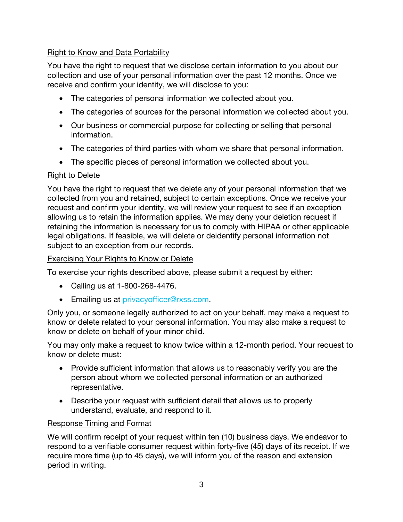#### Right to Know and Data Portability

You have the right to request that we disclose certain information to you about our collection and use of your personal information over the past 12 months. Once we receive and confirm your identity, we will disclose to you:

- The categories of personal information we collected about you.
- The categories of sources for the personal information we collected about you.
- Our business or commercial purpose for collecting or selling that personal information.
- The categories of third parties with whom we share that personal information.
- The specific pieces of personal information we collected about you.

#### Right to Delete

You have the right to request that we delete any of your personal information that we collected from you and retained, subject to certain exceptions. Once we receive your request and confirm your identity, we will review your request to see if an exception allowing us to retain the information applies. We may deny your deletion request if retaining the information is necessary for us to comply with HIPAA or other applicable legal obligations. If feasible, we will delete or deidentify personal information not subject to an exception from our records.

#### Exercising Your Rights to Know or Delete

To exercise your rights described above, please submit a request by either:

- Calling us at 1-800-268-4476.
- Emailing us at privacyofficer@rxss.com.

Only you, or someone legally authorized to act on your behalf, may make a request to know or delete related to your personal information. You may also make a request to know or delete on behalf of your minor child.

You may only make a request to know twice within a 12-month period. Your request to know or delete must:

- Provide sufficient information that allows us to reasonably verify you are the person about whom we collected personal information or an authorized representative.
- Describe your request with sufficient detail that allows us to properly understand, evaluate, and respond to it.

#### Response Timing and Format

We will confirm receipt of your request within ten (10) business days. We endeavor to respond to a verifiable consumer request within forty-five (45) days of its receipt. If we require more time (up to 45 days), we will inform you of the reason and extension period in writing.